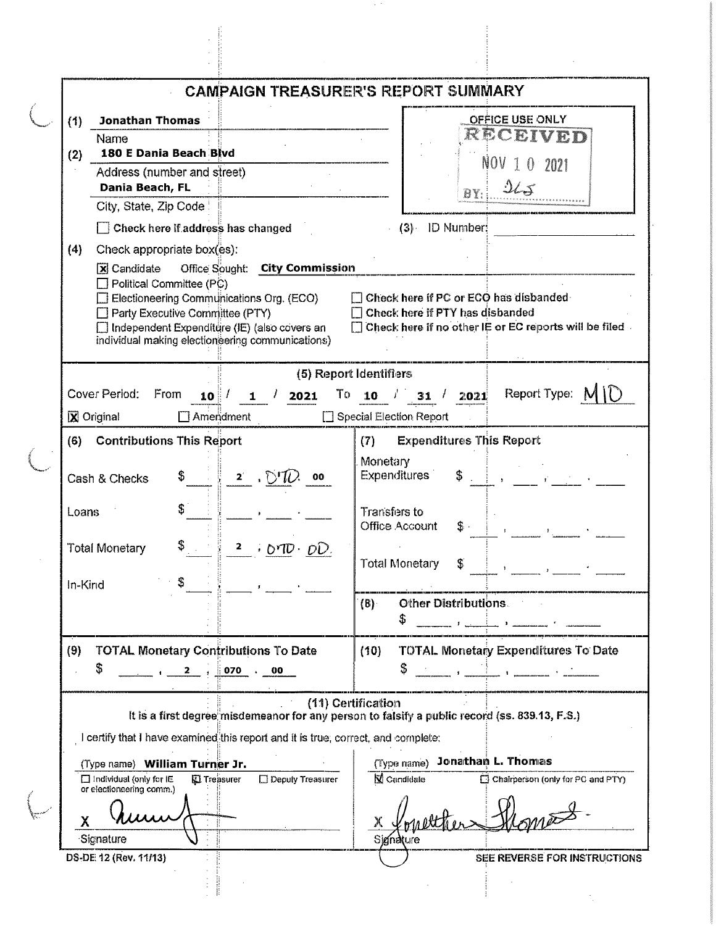| <b>Jonathan Thomas</b><br>(1)<br>Name<br>180 E Dania Beach Blvd<br>(2)<br>Address (number and street)<br>Dania Beach, FL<br>City, State, Zip Code<br>$\Box$ Check here if address has changed<br>(4)<br>Check appropriate box(es):<br>Office Sought: City Commission<br>$\overline{\mathbf{x}}$ Candidate<br>$\Box$ Political Committee (PC)<br>Electioneering Communications Org. (ECO)<br>Party Executive Committee (PTY) | <b>CAMPAIGN TREASURER'S REPORT SUMMARY</b><br>OFFICE USE ONLY<br>RECEIVED<br>NOV 1 0 2021<br>$2\mathcal{L} \mathcal{J}$<br>$(3)$ ID Number:<br>Check here if PC or ECO has disbanded<br>Check here if PTY has disbanded<br>Check here if no other IE or EC reports will be filed.                                                           |  |  |  |  |
|-----------------------------------------------------------------------------------------------------------------------------------------------------------------------------------------------------------------------------------------------------------------------------------------------------------------------------------------------------------------------------------------------------------------------------|---------------------------------------------------------------------------------------------------------------------------------------------------------------------------------------------------------------------------------------------------------------------------------------------------------------------------------------------|--|--|--|--|
|                                                                                                                                                                                                                                                                                                                                                                                                                             |                                                                                                                                                                                                                                                                                                                                             |  |  |  |  |
|                                                                                                                                                                                                                                                                                                                                                                                                                             |                                                                                                                                                                                                                                                                                                                                             |  |  |  |  |
|                                                                                                                                                                                                                                                                                                                                                                                                                             |                                                                                                                                                                                                                                                                                                                                             |  |  |  |  |
|                                                                                                                                                                                                                                                                                                                                                                                                                             |                                                                                                                                                                                                                                                                                                                                             |  |  |  |  |
|                                                                                                                                                                                                                                                                                                                                                                                                                             |                                                                                                                                                                                                                                                                                                                                             |  |  |  |  |
|                                                                                                                                                                                                                                                                                                                                                                                                                             |                                                                                                                                                                                                                                                                                                                                             |  |  |  |  |
|                                                                                                                                                                                                                                                                                                                                                                                                                             |                                                                                                                                                                                                                                                                                                                                             |  |  |  |  |
|                                                                                                                                                                                                                                                                                                                                                                                                                             |                                                                                                                                                                                                                                                                                                                                             |  |  |  |  |
|                                                                                                                                                                                                                                                                                                                                                                                                                             |                                                                                                                                                                                                                                                                                                                                             |  |  |  |  |
|                                                                                                                                                                                                                                                                                                                                                                                                                             |                                                                                                                                                                                                                                                                                                                                             |  |  |  |  |
|                                                                                                                                                                                                                                                                                                                                                                                                                             |                                                                                                                                                                                                                                                                                                                                             |  |  |  |  |
| □ Independent Expenditure (IE) (also covers an                                                                                                                                                                                                                                                                                                                                                                              |                                                                                                                                                                                                                                                                                                                                             |  |  |  |  |
| individual making electioneering communications)                                                                                                                                                                                                                                                                                                                                                                            |                                                                                                                                                                                                                                                                                                                                             |  |  |  |  |
|                                                                                                                                                                                                                                                                                                                                                                                                                             | (5) Report Identifiers                                                                                                                                                                                                                                                                                                                      |  |  |  |  |
| Cover Period:<br>From<br>$10^{1}$<br>2021<br>1                                                                                                                                                                                                                                                                                                                                                                              | 31 / 2021 Report Type: $M \cap$<br>To 10 $\sqrt{2}$                                                                                                                                                                                                                                                                                         |  |  |  |  |
| X Original<br>Ameridment                                                                                                                                                                                                                                                                                                                                                                                                    | Special Election Report                                                                                                                                                                                                                                                                                                                     |  |  |  |  |
| <b>Contributions This Report</b><br>(6)                                                                                                                                                                                                                                                                                                                                                                                     | <b>Expenditures This Report</b><br>(T)                                                                                                                                                                                                                                                                                                      |  |  |  |  |
| $\cdot$ DTU<br>$2^{\circ}$<br>Cash & Checks<br>00                                                                                                                                                                                                                                                                                                                                                                           | Monetary<br><b>Expenditures</b>                                                                                                                                                                                                                                                                                                             |  |  |  |  |
| Loans                                                                                                                                                                                                                                                                                                                                                                                                                       | Transfers to<br>Office Account                                                                                                                                                                                                                                                                                                              |  |  |  |  |
| Total Monetary<br>$2 \div OTD \cdot OD$                                                                                                                                                                                                                                                                                                                                                                                     | Total Monetary<br>S.<br>$\frac{1}{2}$ $\frac{1}{2}$ $\frac{1}{2}$ $\frac{1}{2}$ $\frac{1}{2}$ $\frac{1}{2}$ $\frac{1}{2}$ $\frac{1}{2}$ $\frac{1}{2}$ $\frac{1}{2}$ $\frac{1}{2}$ $\frac{1}{2}$ $\frac{1}{2}$ $\frac{1}{2}$ $\frac{1}{2}$ $\frac{1}{2}$ $\frac{1}{2}$ $\frac{1}{2}$ $\frac{1}{2}$ $\frac{1}{2}$ $\frac{1}{2}$ $\frac{1}{2}$ |  |  |  |  |
| In-Kind                                                                                                                                                                                                                                                                                                                                                                                                                     |                                                                                                                                                                                                                                                                                                                                             |  |  |  |  |
|                                                                                                                                                                                                                                                                                                                                                                                                                             | Other Distributions.<br>$\{8\}$<br>\$                                                                                                                                                                                                                                                                                                       |  |  |  |  |
|                                                                                                                                                                                                                                                                                                                                                                                                                             |                                                                                                                                                                                                                                                                                                                                             |  |  |  |  |
| <b>TOTAL Monetary Contributions To Date</b><br>(9)                                                                                                                                                                                                                                                                                                                                                                          | <b>TOTAL Monetary Expenditures To Date</b><br>(10)                                                                                                                                                                                                                                                                                          |  |  |  |  |
| \$                                                                                                                                                                                                                                                                                                                                                                                                                          | S,<br>de la composició de la component de la component de la component de la component de la component de la component de la component de la component de la component de la component de la component de la component de la compone                                                                                                        |  |  |  |  |
|                                                                                                                                                                                                                                                                                                                                                                                                                             | (11) Certification                                                                                                                                                                                                                                                                                                                          |  |  |  |  |
|                                                                                                                                                                                                                                                                                                                                                                                                                             | It is a first degree misdemeanor for any person to falsify a public record (ss. 839.13, F.S.)                                                                                                                                                                                                                                               |  |  |  |  |
| I certify that I have examined this report and it is true, correct, and complete:                                                                                                                                                                                                                                                                                                                                           |                                                                                                                                                                                                                                                                                                                                             |  |  |  |  |
| (Type name) William Turner Jr.<br>$\Box$ Individual (only for $IE$<br><b>D</b> Treasurer<br>$\square$ Depuly Treasurer                                                                                                                                                                                                                                                                                                      | (Type name) Jonathan L. Thomas<br><b>N</b> Candidate<br>Chairperson (only for PC and PTY)                                                                                                                                                                                                                                                   |  |  |  |  |
| or electioneering comm.)                                                                                                                                                                                                                                                                                                                                                                                                    |                                                                                                                                                                                                                                                                                                                                             |  |  |  |  |
| χ                                                                                                                                                                                                                                                                                                                                                                                                                           |                                                                                                                                                                                                                                                                                                                                             |  |  |  |  |
| Signature                                                                                                                                                                                                                                                                                                                                                                                                                   | Signature                                                                                                                                                                                                                                                                                                                                   |  |  |  |  |
| DS-DE 12 (Rev. 11/13)                                                                                                                                                                                                                                                                                                                                                                                                       | SEE REVERSE FOR INSTRUCTIONS                                                                                                                                                                                                                                                                                                                |  |  |  |  |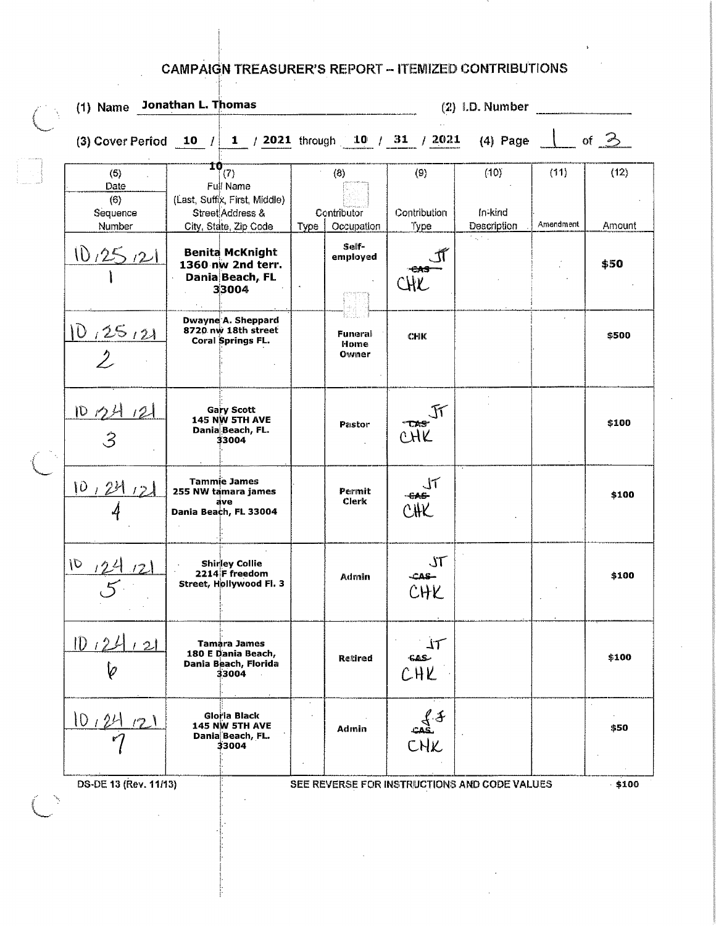## **CAMPAIGN TREASURER'S REPORT - ITEMIZED CONTRIBUTIONS**

|                                          | (1) Name Jonathan L. Thomas                                                                                 |                                              | $(2)$ I.D. Number             |                                |                   |                |  |  |  |
|------------------------------------------|-------------------------------------------------------------------------------------------------------------|----------------------------------------------|-------------------------------|--------------------------------|-------------------|----------------|--|--|--|
|                                          | (3) Cover Perfod 10 $/$ 1 $/$ 2021 through 10 $/$ 31 $/$ 2021                                               |                                              | of $\geq$<br>$(4)$ Page       |                                |                   |                |  |  |  |
| (5)<br>Date<br>(6)<br>Sequence<br>Number | $\frac{10}{(7)}$<br>Full Name<br>(Last, Suffix, First, Middle)<br>Street Address &<br>City, State, Zip Code | (8)<br>Contributor<br>Occupation<br>Type     | (9)<br>Contribution<br>Type   | (10)<br>In-kind<br>Description | (11)<br>Amendment | (12)<br>Amount |  |  |  |
| 10,25,21                                 | <b>Benita McKnight</b><br>1360 nw 2nd terr.<br>Dania Beach, FL<br>33004<br>$\mathcal{F}(\mathcal{L})$       | Self-<br>employed                            |                               | tage a                         |                   | \$50           |  |  |  |
| 10,25,21<br>$\overline{2}$               | Dwayne A. Sheppard<br>8720 nw 18th street<br><b>Coral Springs FL.</b>                                       | Funeral<br>Home<br>Owner                     | <b>CHK</b>                    |                                |                   | \$500          |  |  |  |
| 107412<br>$\hat{\mathcal{S}}$            | <b>Gary Scott</b><br>145 NW 5TH AVE<br>Dania Beach, FL.<br>33004                                            | Pastor                                       | <b>TAS</b><br>CHK             |                                |                   | \$100          |  |  |  |
| 10,24,2                                  | <b>Tammie James</b><br>255 NW tamara james<br>ave<br>Dania Beach, FL 33004                                  | Permit<br>Clerk                              | CHK<br>CHK                    |                                |                   | \$100          |  |  |  |
| $\sqrt{2}$                               | <b>Shirley Collie</b><br>2214 F freedom<br>Street, Hollywood Fl. 3                                          | <b>Admin</b>                                 | $J\mathcal{T}$<br>CAS-<br>CHK |                                |                   | \$100          |  |  |  |
| 1D124<br>12<br>b                         | Tamara James<br>180 E Dania Beach,<br>Dania Beach, Florida<br>33004                                         | Retired                                      | 丌<br><b>GAS</b><br>CHK        |                                |                   | \$100          |  |  |  |
| 10,24<br>(7)                             | Gloria Black<br>145 NW 5TH AVE<br>Dania Beach, FL.<br>33004                                                 | Admin                                        | $\frac{f}{f}$<br>CHK          |                                |                   | \$50           |  |  |  |
| DS-DE 13 (Rev. 11/13)                    |                                                                                                             | SEE REVERSE FOR INSTRUCTIONS AND CODE VALUES |                               |                                |                   | $-100$         |  |  |  |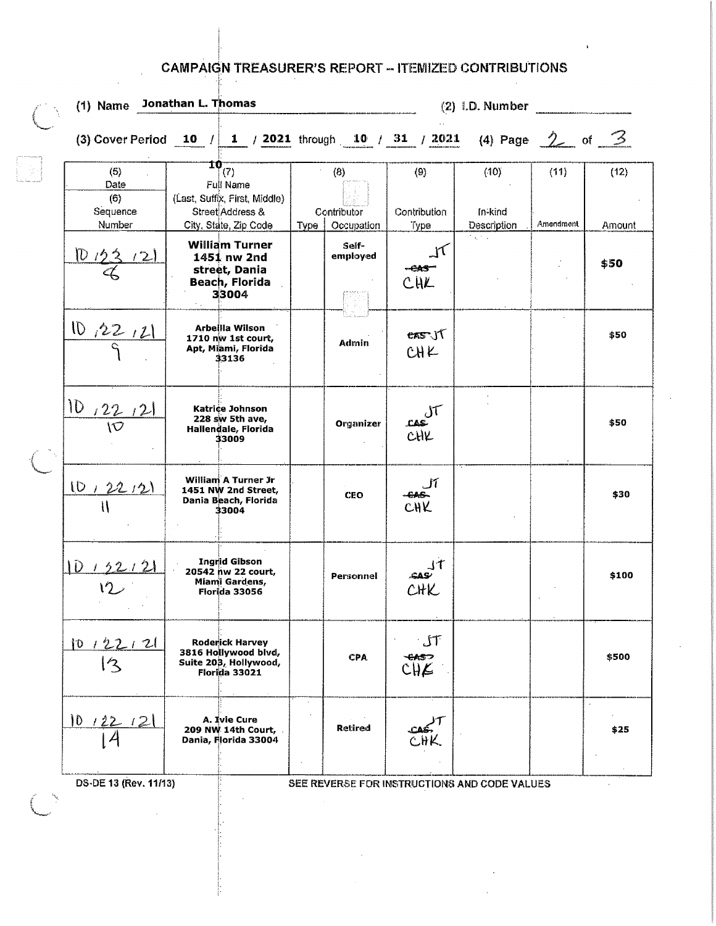## **CAMPAIGN TREASURER'S REPORT - ITEMIZED CONTRIBUTIONS**

| (5)<br>Date<br>(6)<br>Sequence<br>Number<br>10/22<br>$\mathbb{Z}$ |      | $10_{(7)}$<br><b>Full Name</b><br>(Last, Suffix, First, Middle)<br>Street Address &<br>City, State, Zip Code |                                                                                                                                                        | (8)                       | (3) Cover Period 10 $/$ 1 $/$ 2021 through 10 $/$ 31 $/$ 2021 (4) Page 2 of 3<br>(9) | (10)                   | (11)      |                                                                       |
|-------------------------------------------------------------------|------|--------------------------------------------------------------------------------------------------------------|--------------------------------------------------------------------------------------------------------------------------------------------------------|---------------------------|--------------------------------------------------------------------------------------|------------------------|-----------|-----------------------------------------------------------------------|
|                                                                   |      |                                                                                                              |                                                                                                                                                        |                           |                                                                                      |                        |           |                                                                       |
|                                                                   |      |                                                                                                              | Type                                                                                                                                                   | Contributor<br>Occupation | Contribution<br>Type                                                                 | In-kind<br>Description | Amendment | (12)<br>Amount                                                        |
|                                                                   | × 10 | <b>William Turner</b><br>1451 nw 2nd<br>street, Dania<br>Beach, Florida<br>33004                             |                                                                                                                                                        | Self-<br>employed         | CHL                                                                                  | ta, na                 |           | \$50                                                                  |
| $\frac{10,22,11}{9}$                                              |      | Arbeilla Wilson<br>1710 nw 1st court,<br>Apt, Miami, Florida<br>33136                                        |                                                                                                                                                        | Admin                     | eas JT<br>CHK                                                                        |                        |           | \$50                                                                  |
| $\frac{10}{10}$ $\frac{22}{10}$                                   |      | Katrice Johnson<br>228 sw 5th ave,<br>Hallendale, Florida<br>33009                                           |                                                                                                                                                        | Organizer                 | س<br>CHK<br>CHK                                                                      |                        |           | \$50                                                                  |
| 10, 22, 21                                                        |      | William A Turner Jr<br>1451 NW 2nd Street,<br>Dania Beach, Florida<br>33004                                  |                                                                                                                                                        | <b>CEO</b>                | CHK<br>CHK                                                                           |                        |           | \$30                                                                  |
| $1D + 52 + 2$                                                     |      | <b>Ingrid Gibson</b><br>20542 nw 22 court,<br>Miami Gardens,<br>Florida 33056                                |                                                                                                                                                        | Personnel                 | $rac{1}{CHK}$                                                                        |                        |           | \$100                                                                 |
| 10122121<br>12                                                    |      |                                                                                                              |                                                                                                                                                        | CPA                       | $\mathsf{L} \mathsf{L}$<br>$rac{\epsilon_{\text{MS}}}{\epsilon_{\text{H}}\epsilon}$  |                        |           | \$500                                                                 |
| 1012212                                                           |      |                                                                                                              | $\ddot{\phantom{a}}$<br>$\bullet$                                                                                                                      | Retired                   |                                                                                      |                        |           | \$25                                                                  |
|                                                                   |      |                                                                                                              | <b>Roderick Harvey</b><br>3816 Hollywood blvd,<br>Suite 203, Hollywood,<br>Florida 33021<br>A. Ivie Cure<br>209 NW 14th Court,<br>Dania, Florida 33004 |                           |                                                                                      |                        |           | DS-DE 13 (Rev. 11/13)<br>SEE REVERSE FOR INSTRUCTIONS AND CODE VALUES |